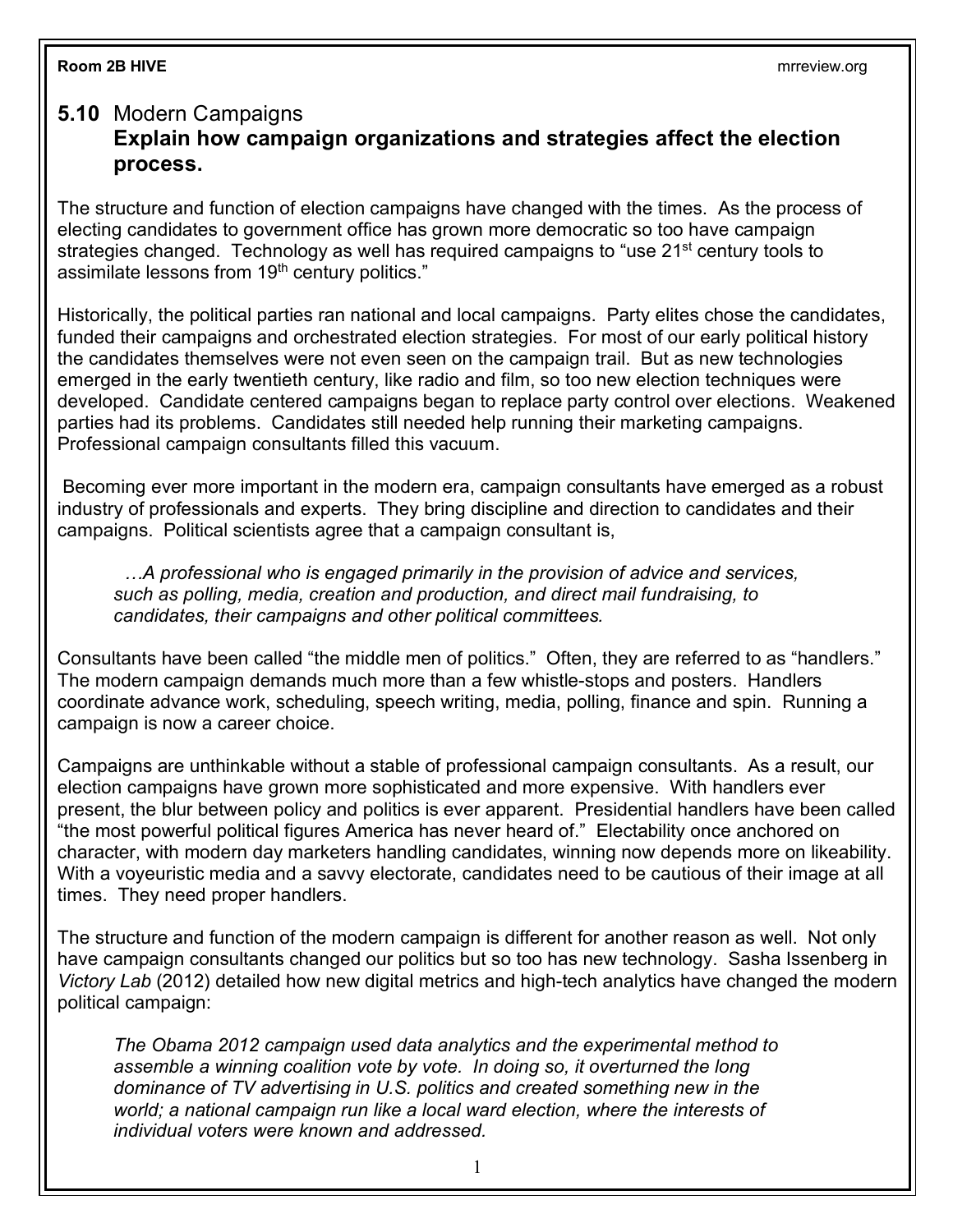## **5.10** Modern Campaigns **Explain how campaign organizations and strategies affect the election process.**

The structure and function of election campaigns have changed with the times. As the process of electing candidates to government office has grown more democratic so too have campaign strategies changed. Technology as well has required campaigns to "use 21<sup>st</sup> century tools to assimilate lessons from  $19<sup>th</sup>$  century politics."

Historically, the political parties ran national and local campaigns. Party elites chose the candidates, funded their campaigns and orchestrated election strategies. For most of our early political history the candidates themselves were not even seen on the campaign trail. But as new technologies emerged in the early twentieth century, like radio and film, so too new election techniques were developed. Candidate centered campaigns began to replace party control over elections. Weakened parties had its problems. Candidates still needed help running their marketing campaigns. Professional campaign consultants filled this vacuum.

Becoming ever more important in the modern era, campaign consultants have emerged as a robust industry of professionals and experts. They bring discipline and direction to candidates and their campaigns. Political scientists agree that a campaign consultant is,

 *…A professional who is engaged primarily in the provision of advice and services, such as polling, media, creation and production, and direct mail fundraising, to candidates, their campaigns and other political committees.*

Consultants have been called "the middle men of politics." Often, they are referred to as "handlers." The modern campaign demands much more than a few whistle-stops and posters. Handlers coordinate advance work, scheduling, speech writing, media, polling, finance and spin. Running a campaign is now a career choice.

Campaigns are unthinkable without a stable of professional campaign consultants. As a result, our election campaigns have grown more sophisticated and more expensive. With handlers ever present, the blur between policy and politics is ever apparent. Presidential handlers have been called "the most powerful political figures America has never heard of." Electability once anchored on character, with modern day marketers handling candidates, winning now depends more on likeability. With a voyeuristic media and a savvy electorate, candidates need to be cautious of their image at all times. They need proper handlers.

The structure and function of the modern campaign is different for another reason as well. Not only have campaign consultants changed our politics but so too has new technology. Sasha Issenberg in *Victory Lab* (2012) detailed how new digital metrics and high-tech analytics have changed the modern political campaign:

*The Obama 2012 campaign used data analytics and the experimental method to*  assemble a winning coalition vote by vote. In doing so, it overturned the long *dominance of TV advertising in U.S. politics and created something new in the world; a national campaign run like a local ward election, where the interests of individual voters were known and addressed.*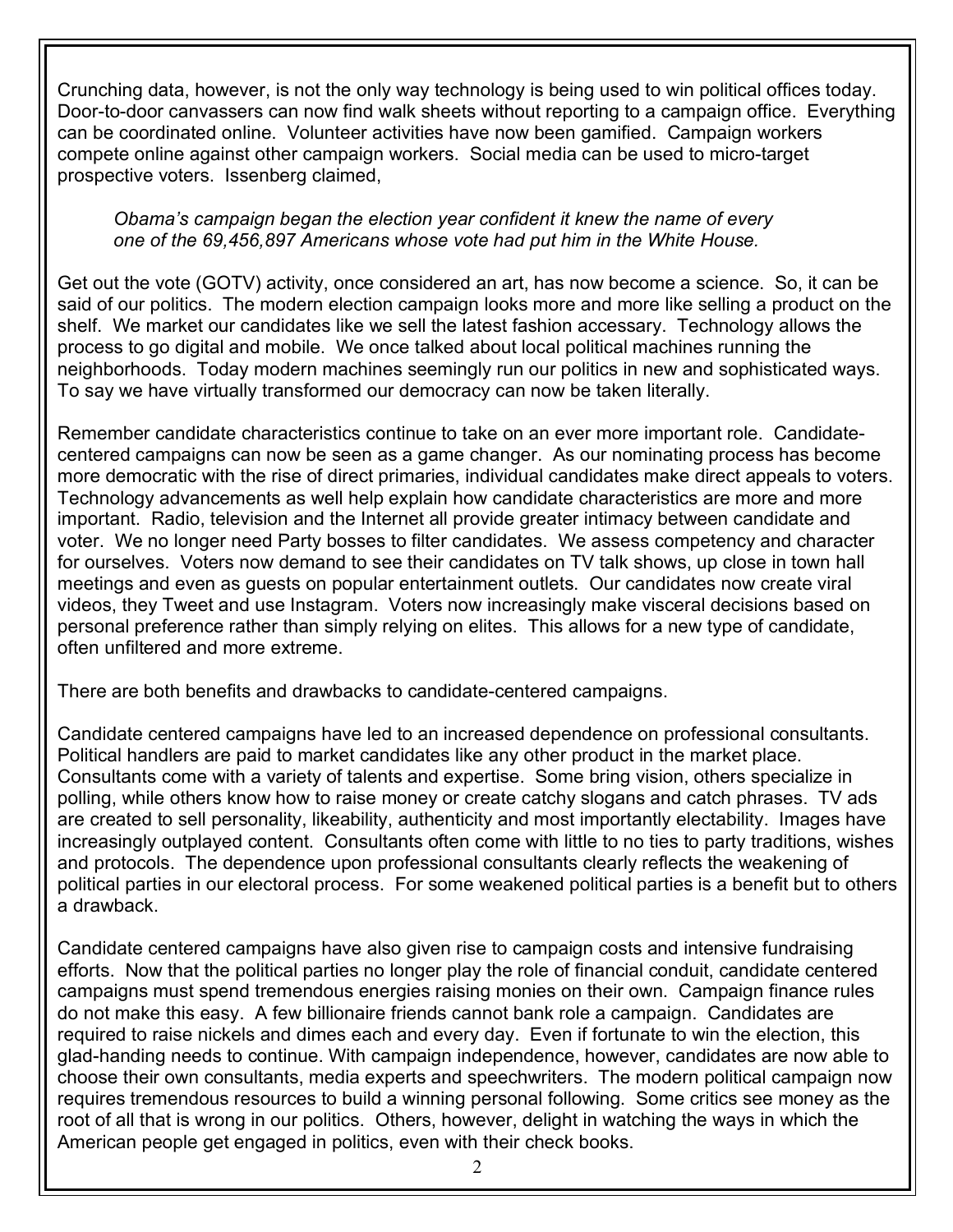Crunching data, however, is not the only way technology is being used to win political offices today. Door-to-door canvassers can now find walk sheets without reporting to a campaign office. Everything can be coordinated online. Volunteer activities have now been gamified. Campaign workers compete online against other campaign workers. Social media can be used to micro-target prospective voters. Issenberg claimed,

## *Obama's campaign began the election year confident it knew the name of every one of the 69,456,897 Americans whose vote had put him in the White House.*

Get out the vote (GOTV) activity, once considered an art, has now become a science. So, it can be said of our politics. The modern election campaign looks more and more like selling a product on the shelf. We market our candidates like we sell the latest fashion accessary. Technology allows the process to go digital and mobile. We once talked about local political machines running the neighborhoods. Today modern machines seemingly run our politics in new and sophisticated ways. To say we have virtually transformed our democracy can now be taken literally.

Remember candidate characteristics continue to take on an ever more important role. Candidatecentered campaigns can now be seen as a game changer. As our nominating process has become more democratic with the rise of direct primaries, individual candidates make direct appeals to voters. Technology advancements as well help explain how candidate characteristics are more and more important. Radio, television and the Internet all provide greater intimacy between candidate and voter. We no longer need Party bosses to filter candidates. We assess competency and character for ourselves. Voters now demand to see their candidates on TV talk shows, up close in town hall meetings and even as guests on popular entertainment outlets. Our candidates now create viral videos, they Tweet and use Instagram. Voters now increasingly make visceral decisions based on personal preference rather than simply relying on elites. This allows for a new type of candidate, often unfiltered and more extreme.

There are both benefits and drawbacks to candidate-centered campaigns.

Candidate centered campaigns have led to an increased dependence on professional consultants. Political handlers are paid to market candidates like any other product in the market place. Consultants come with a variety of talents and expertise. Some bring vision, others specialize in polling, while others know how to raise money or create catchy slogans and catch phrases. TV ads are created to sell personality, likeability, authenticity and most importantly electability. Images have increasingly outplayed content. Consultants often come with little to no ties to party traditions, wishes and protocols. The dependence upon professional consultants clearly reflects the weakening of political parties in our electoral process. For some weakened political parties is a benefit but to others a drawback.

Candidate centered campaigns have also given rise to campaign costs and intensive fundraising efforts. Now that the political parties no longer play the role of financial conduit, candidate centered campaigns must spend tremendous energies raising monies on their own. Campaign finance rules do not make this easy. A few billionaire friends cannot bank role a campaign. Candidates are required to raise nickels and dimes each and every day. Even if fortunate to win the election, this glad-handing needs to continue. With campaign independence, however, candidates are now able to choose their own consultants, media experts and speechwriters. The modern political campaign now requires tremendous resources to build a winning personal following. Some critics see money as the root of all that is wrong in our politics. Others, however, delight in watching the ways in which the American people get engaged in politics, even with their check books.